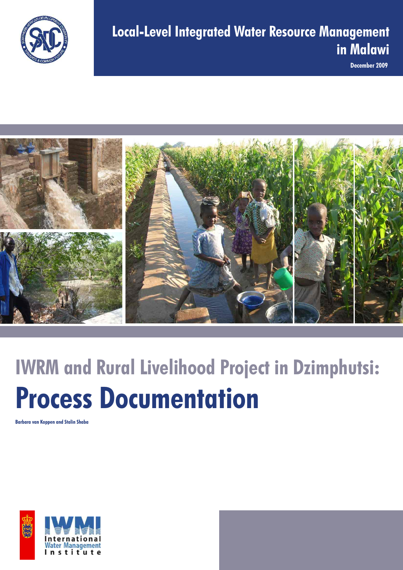

**December 2009**



# **IWRM and Rural Livelihood Project in Dzimphutsi: Process Documentation**

**Barbara van Koppen and Stalin Shaba**

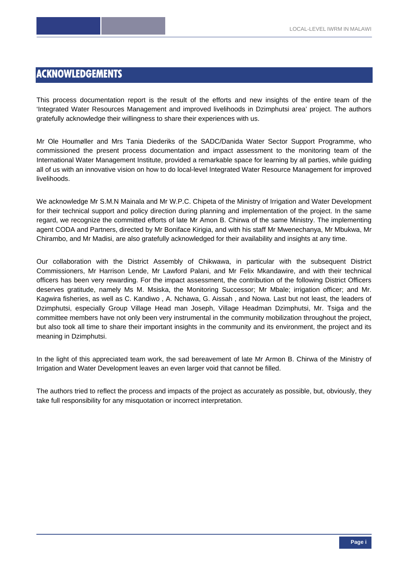# **ACKNOWLEDGEMENTS**

This process documentation report is the result of the efforts and new insights of the entire team of the 'Integrated Water Resources Management and improved livelihoods in Dzimphutsi area' project. The authors gratefully acknowledge their willingness to share their experiences with us.

Mr Ole Houmøller and Mrs Tania Diederiks of the SADC/Danida Water Sector Support Programme, who commissioned the present process documentation and impact assessment to the monitoring team of the International Water Management Institute, provided a remarkable space for learning by all parties, while guiding all of us with an innovative vision on how to do local-level Integrated Water Resource Management for improved livelihoods.

We acknowledge Mr S.M.N Mainala and Mr W.P.C. Chipeta of the Ministry of Irrigation and Water Development for their technical support and policy direction during planning and implementation of the project. In the same regard, we recognize the committed efforts of late Mr Amon B. Chirwa of the same Ministry. The implementing agent CODA and Partners, directed by Mr Boniface Kirigia, and with his staff Mr Mwenechanya, Mr Mbukwa, Mr Chirambo, and Mr Madisi, are also gratefully acknowledged for their availability and insights at any time.

Our collaboration with the District Assembly of Chikwawa, in particular with the subsequent District Commissioners, Mr Harrison Lende, Mr Lawford Palani, and Mr Felix Mkandawire, and with their technical officers has been very rewarding. For the impact assessment, the contribution of the following District Officers deserves gratitude, namely Ms M. Msiska, the Monitoring Successor; Mr Mbale; irrigation officer; and Mr. Kagwira fisheries, as well as C. Kandiwo , A. Nchawa, G. Aissah , and Nowa. Last but not least, the leaders of Dzimphutsi, especially Group Village Head man Joseph, Village Headman Dzimphutsi, Mr. Tsiga and the committee members have not only been very instrumental in the community mobilization throughout the project, but also took all time to share their important insights in the community and its environment, the project and its meaning in Dzimphutsi.

In the light of this appreciated team work, the sad bereavement of late Mr Armon B. Chirwa of the Ministry of Irrigation and Water Development leaves an even larger void that cannot be filled.

The authors tried to reflect the process and impacts of the project as accurately as possible, but, obviously, they take full responsibility for any misquotation or incorrect interpretation.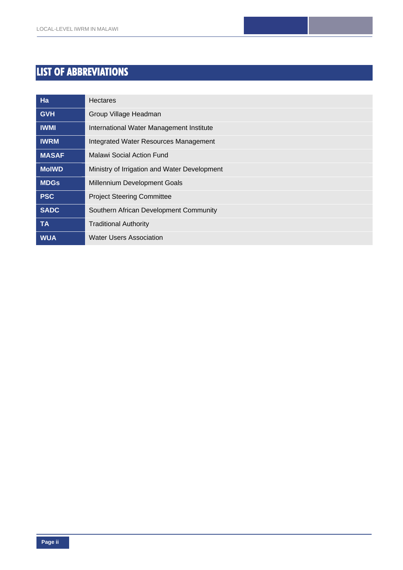# **LIST OF ABBREVIATIONS**

| Ha           | <b>Hectares</b>                              |
|--------------|----------------------------------------------|
| <b>GVH</b>   | Group Village Headman                        |
| <b>IWMI</b>  | International Water Management Institute     |
| <b>IWRM</b>  | Integrated Water Resources Management        |
| <b>MASAF</b> | Malawi Social Action Fund                    |
| <b>MoIWD</b> | Ministry of Irrigation and Water Development |
| <b>MDGs</b>  | Millennium Development Goals                 |
| <b>PSC</b>   | <b>Project Steering Committee</b>            |
| <b>SADC</b>  | Southern African Development Community       |
| <b>TA</b>    | <b>Traditional Authority</b>                 |
| <b>WUA</b>   | <b>Water Users Association</b>               |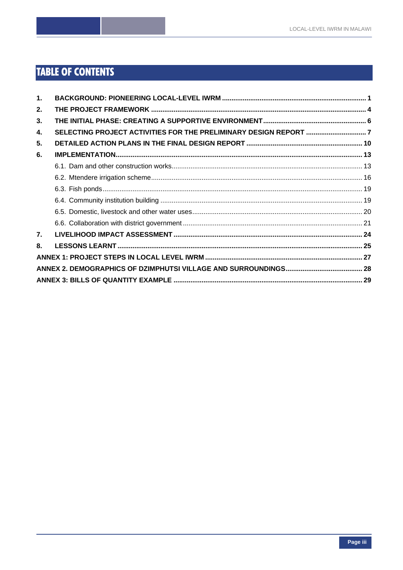# **TABLE OF CONTENTS**

| 1 <sub>1</sub> |  |
|----------------|--|
| 2.             |  |
| 3.             |  |
| 4.             |  |
| 5.             |  |
| 6.             |  |
|                |  |
|                |  |
|                |  |
|                |  |
|                |  |
|                |  |
| 7 <sub>1</sub> |  |
| 8.             |  |
|                |  |
|                |  |
|                |  |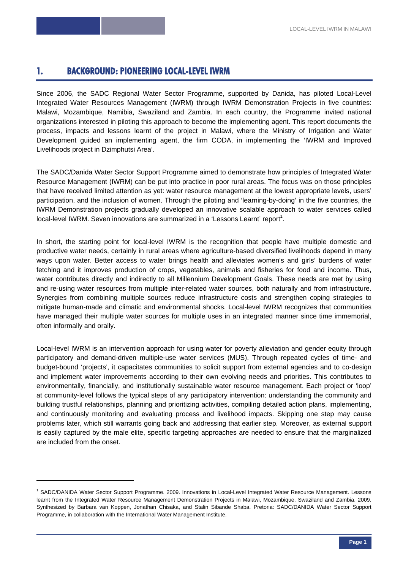# **1. BACKGROUND: PIONEERING LOCAL-LEVEL IWRM**

Since 2006, the SADC Regional Water Sector Programme, supported by Danida, has piloted Local-Level Integrated Water Resources Management (IWRM) through IWRM Demonstration Projects in five countries: Malawi, Mozambique, Namibia, Swaziland and Zambia. In each country, the Programme invited national organizations interested in piloting this approach to become the implementing agent. This report documents the process, impacts and lessons learnt of the project in Malawi, where the Ministry of Irrigation and Water Development guided an implementing agent, the firm CODA, in implementing the 'IWRM and Improved Livelihoods project in Dzimphutsi Area'.

The SADC/Danida Water Sector Support Programme aimed to demonstrate how principles of Integrated Water Resource Management (IWRM) can be put into practice in poor rural areas. The focus was on those principles that have received limited attention as yet: water resource management at the lowest appropriate levels, users' participation, and the inclusion of women. Through the piloting and 'learning-by-doing' in the five countries, the IWRM Demonstration projects gradually developed an innovative scalable approach to water services called local-level IWRM. Seven innovations are summarized in a 'Lessons Learnt' report<sup>1</sup>.

In short, the starting point for local-level IWRM is the recognition that people have multiple domestic and productive water needs, certainly in rural areas where agriculture-based diversified livelihoods depend in many ways upon water. Better access to water brings health and alleviates women's and girls' burdens of water fetching and it improves production of crops, vegetables, animals and fisheries for food and income. Thus, water contributes directly and indirectly to all Millennium Development Goals. These needs are met by using and re-using water resources from multiple inter-related water sources, both naturally and from infrastructure. Synergies from combining multiple sources reduce infrastructure costs and strengthen coping strategies to mitigate human-made and climatic and environmental shocks. Local-level IWRM recognizes that communities have managed their multiple water sources for multiple uses in an integrated manner since time immemorial, often informally and orally.

Local-level IWRM is an intervention approach for using water for poverty alleviation and gender equity through participatory and demand-driven multiple-use water services (MUS). Through repeated cycles of time- and budget-bound 'projects', it capacitates communities to solicit support from external agencies and to co-design and implement water improvements according to their own evolving needs and priorities. This contributes to environmentally, financially, and institutionally sustainable water resource management. Each project or 'loop' at community-level follows the typical steps of any participatory intervention: understanding the community and building trustful relationships, planning and prioritizing activities, compiling detailed action plans, implementing, and continuously monitoring and evaluating process and livelihood impacts. Skipping one step may cause problems later, which still warrants going back and addressing that earlier step. Moreover, as external support is easily captured by the male elite, specific targeting approaches are needed to ensure that the marginalized are included from the onset.

-

<sup>1</sup> SADC/DANIDA Water Sector Support Programme. 2009. Innovations in Local-Level Integrated Water Resource Management. Lessons learnt from the Integrated Water Resource Management Demonstration Projects in Malawi, Mozambique, Swaziland and Zambia. 2009. Synthesized by Barbara van Koppen, Jonathan Chisaka, and Stalin Sibande Shaba. Pretoria: SADC/DANIDA Water Sector Support Programme, in collaboration with the International Water Management Institute.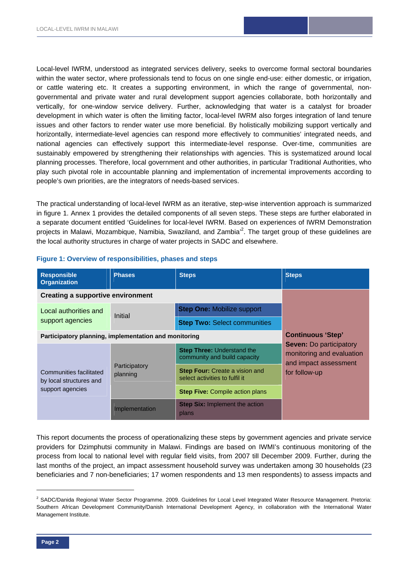Local-level IWRM, understood as integrated services delivery, seeks to overcome formal sectoral boundaries within the water sector, where professionals tend to focus on one single end-use: either domestic, or irrigation, or cattle watering etc. It creates a supporting environment, in which the range of governmental, nongovernmental and private water and rural development support agencies collaborate, both horizontally and vertically, for one-window service delivery. Further, acknowledging that water is a catalyst for broader development in which water is often the limiting factor, local-level IWRM also forges integration of land tenure issues and other factors to render water use more beneficial. By holistically mobilizing support vertically and horizontally, intermediate-level agencies can respond more effectively to communities' integrated needs, and national agencies can effectively support this intermediate-level response. Over-time, communities are sustainably empowered by strengthening their relationships with agencies. This is systematized around local planning processes. Therefore, local government and other authorities, in particular Traditional Authorities, who play such pivotal role in accountable planning and implementation of incremental improvements according to people's own priorities, are the integrators of needs-based services.

The practical understanding of local-level IWRM as an iterative, step-wise intervention approach is summarized in figure 1. Annex 1 provides the detailed components of all seven steps. These steps are further elaborated in a separate document entitled 'Guidelines for local-level IWRM. Based on experiences of IWRM Demonstration projects in Malawi, Mozambique, Namibia, Swaziland, and Zambia<sup>,2</sup>. The target group of these guidelines are the local authority structures in charge of water projects in SADC and elsewhere.

| <b>Responsible</b><br><b>Organization</b>             | <b>Phases</b>             | <b>Steps</b>                                                            | <b>Steps</b>                                                                         |
|-------------------------------------------------------|---------------------------|-------------------------------------------------------------------------|--------------------------------------------------------------------------------------|
| <b>Creating a supportive environment</b>              |                           |                                                                         |                                                                                      |
| Local authorities and                                 | Initial                   | <b>Step One: Mobilize support</b>                                       |                                                                                      |
| support agencies                                      |                           | <b>Step Two: Select communities</b>                                     |                                                                                      |
| Participatory planning, implementation and monitoring | <b>Continuous 'Step'</b>  |                                                                         |                                                                                      |
|                                                       |                           | <b>Step Three: Understand the</b><br>community and build capacity       | <b>Seven: Do participatory</b><br>monitoring and evaluation<br>and impact assessment |
| Communities facilitated<br>by local structures and    | Participatory<br>planning | <b>Step Four:</b> Create a vision and<br>select activities to fulfil it | for follow-up                                                                        |
| support agencies                                      |                           | <b>Step Five: Compile action plans</b>                                  |                                                                                      |
|                                                       | Implementation            | <b>Step Six: Implement the action</b><br>plans                          |                                                                                      |

#### **Figure 1: Overview of responsibilities, phases and steps**

This report documents the process of operationalizing these steps by government agencies and private service providers for Dzimphutsi community in Malawi. Findings are based on IWMI's continuous monitoring of the process from local to national level with regular field visits, from 2007 till December 2009. Further, during the last months of the project, an impact assessment household survey was undertaken among 30 households (23 beneficiaries and 7 non-beneficiaries; 17 women respondents and 13 men respondents) to assess impacts and

1

<sup>&</sup>lt;sup>2</sup> SADC/Danida Regional Water Sector Programme. 2009. Guidelines for Local Level Integrated Water Resource Management. Pretoria: Southern African Development Community/Danish International Development Agency, in collaboration with the International Water Management Institute.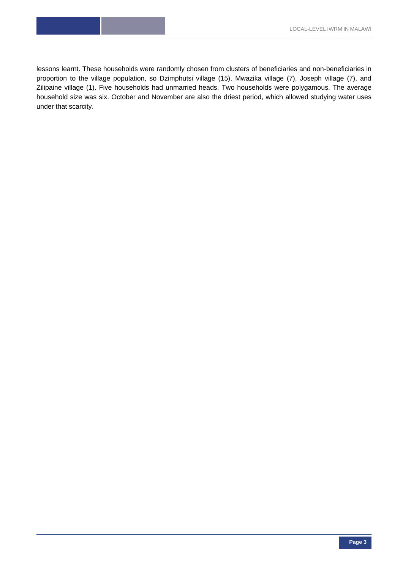lessons learnt. These households were randomly chosen from clusters of beneficiaries and non-beneficiaries in proportion to the village population, so Dzimphutsi village (15), Mwazika village (7), Joseph village (7), and Zilipaine village (1). Five households had unmarried heads. Two households were polygamous. The average household size was six. October and November are also the driest period, which allowed studying water uses under that scarcity.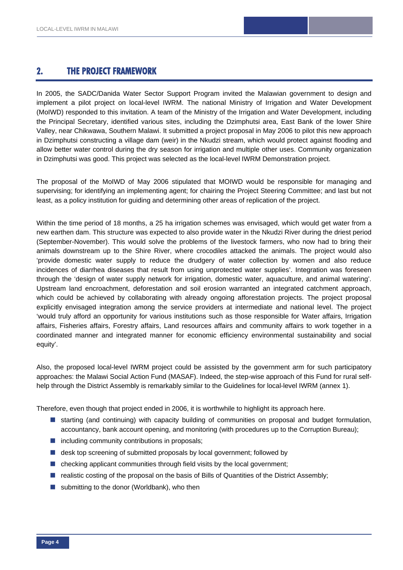# **2. THE PROJECT FRAMEWORK**

In 2005, the SADC/Danida Water Sector Support Program invited the Malawian government to design and implement a pilot project on local-level IWRM. The national Ministry of Irrigation and Water Development (MoIWD) responded to this invitation. A team of the Ministry of the Irrigation and Water Development, including the Principal Secretary, identified various sites, including the Dzimphutsi area, East Bank of the lower Shire Valley, near Chikwawa, Southern Malawi. It submitted a project proposal in May 2006 to pilot this new approach in Dzimphutsi constructing a village dam (weir) in the Nkudzi stream, which would protect against flooding and allow better water control during the dry season for irrigation and multiple other uses. Community organization in Dzimphutsi was good. This project was selected as the local-level IWRM Demonstration project.

The proposal of the MoIWD of May 2006 stipulated that MOIWD would be responsible for managing and supervising; for identifying an implementing agent; for chairing the Project Steering Committee; and last but not least, as a policy institution for guiding and determining other areas of replication of the project.

Within the time period of 18 months, a 25 ha irrigation schemes was envisaged, which would get water from a new earthen dam. This structure was expected to also provide water in the Nkudzi River during the driest period (September-November). This would solve the problems of the livestock farmers, who now had to bring their animals downstream up to the Shire River, where crocodiles attacked the animals. The project would also 'provide domestic water supply to reduce the drudgery of water collection by women and also reduce incidences of diarrhea diseases that result from using unprotected water supplies'. Integration was foreseen through the 'design of water supply network for irrigation, domestic water, aquaculture, and animal watering'. Upstream land encroachment, deforestation and soil erosion warranted an integrated catchment approach, which could be achieved by collaborating with already ongoing afforestation projects. The project proposal explicitly envisaged integration among the service providers at intermediate and national level. The project 'would truly afford an opportunity for various institutions such as those responsible for Water affairs, Irrigation affairs, Fisheries affairs, Forestry affairs, Land resources affairs and community affairs to work together in a coordinated manner and integrated manner for economic efficiency environmental sustainability and social equity'.

Also, the proposed local-level IWRM project could be assisted by the government arm for such participatory approaches: the Malawi Social Action Fund (MASAF). Indeed, the step-wise approach of this Fund for rural selfhelp through the District Assembly is remarkably similar to the Guidelines for local-level IWRM (annex 1).

Therefore, even though that project ended in 2006, it is worthwhile to highlight its approach here.

- **Starting (and continuing) with capacity building of communities on proposal and budget formulation.** accountancy, bank account opening, and monitoring (with procedures up to the Corruption Bureau);
- $\blacksquare$  including community contributions in proposals;
- **desk top screening of submitted proposals by local government; followed by**
- $\blacksquare$  checking applicant communities through field visits by the local government;
- **n** realistic costing of the proposal on the basis of Bills of Quantities of the District Assembly;
- submitting to the donor (Worldbank), who then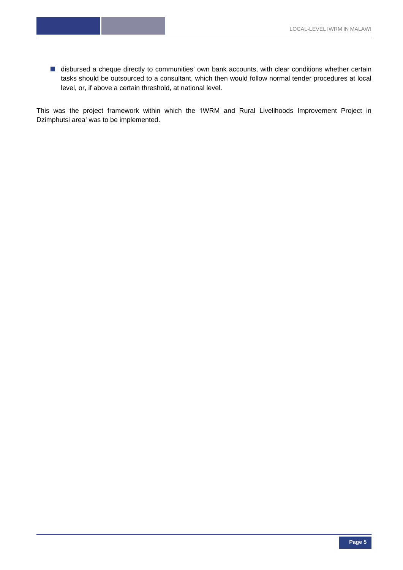■ disbursed a cheque directly to communities' own bank accounts, with clear conditions whether certain tasks should be outsourced to a consultant, which then would follow normal tender procedures at local level, or, if above a certain threshold, at national level.

This was the project framework within which the 'IWRM and Rural Livelihoods Improvement Project in Dzimphutsi area' was to be implemented.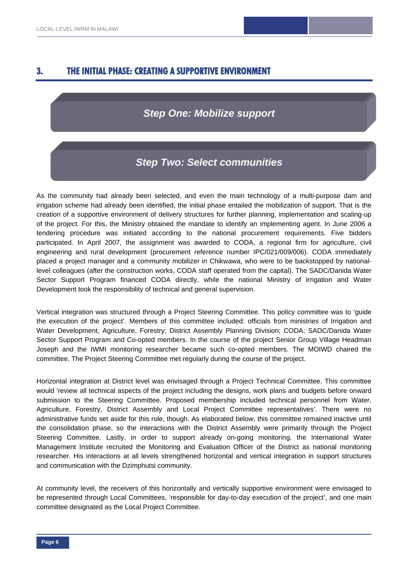# **3. THE INITIAL PHASE: CREATING A SUPPORTIVE ENVIRONMENT**

# *Step One: Mobilize support*

# *Step Two: Select communities*

As the community had already been selected, and even the main technology of a multi-purpose dam and irrigation scheme had already been identified, the initial phase entailed the mobilization of support. That is the creation of a supportive environment of delivery structures for further planning, implementation and scaling-up of the project. For this, the Ministry obtained the mandate to identify an implementing agent. In June 2006 a tendering procedure was initiated according to the national procurement requirements. Five bidders participated. In April 2007, the assignment was awarded to CODA, a regional firm for agriculture, civil engineering and rural development (procurement reference number IPC/021/009/006). CODA immediately placed a project manager and a community mobilizer in Chikwawa, who were to be backstopped by nationallevel colleagues (after the construction works, CODA staff operated from the capital). The SADC/Danida Water Sector Support Program financed CODA directly, while the national Ministry of Irrigation and Water Development took the responsibility of technical and general supervision.

Vertical integration was structured through a Project Steering Committee. This policy committee was to 'guide the execution of the project'. Members of this committee included: officials from ministries of Irrigation and Water Development, Agriculture, Forestry; District Assembly Planning Division; CODA; SADC/Danida Water Sector Support Program and Co-opted members. In the course of the project Senior Group Village Headman Joseph and the IWMI monitoring researcher became such co-opted members. The MOIWD chaired the committee. The Project Steering Committee met regularly during the course of the project.

Horizontal integration at District level was envisaged through a Project Technical Committee. This committee would 'review all technical aspects of the project including the designs, work plans and budgets before onward submission to the Steering Committee. Proposed membership included technical personnel from Water, Agriculture, Forestry, District Assembly and Local Project Committee representatives'. There were no administrative funds set aside for this role, though. As elaborated below, this committee remained inactive until the consolidation phase, so the interactions with the District Assembly were primarily through the Project Steering Committee. Lastly, in order to support already on-going monitoring, the International Water Management Institute recruited the Monitoring and Evaluation Officer of the District as national monitoring researcher. His interactions at all levels strengthened horizontal and vertical integration in support structures and communication with the Dzimphutsi community.

At community level, the receivers of this horizontally and vertically supportive environment were envisaged to be represented through Local Committees, 'responsible for day-to-day execution of the project', and one main committee designated as the Local Project Committee.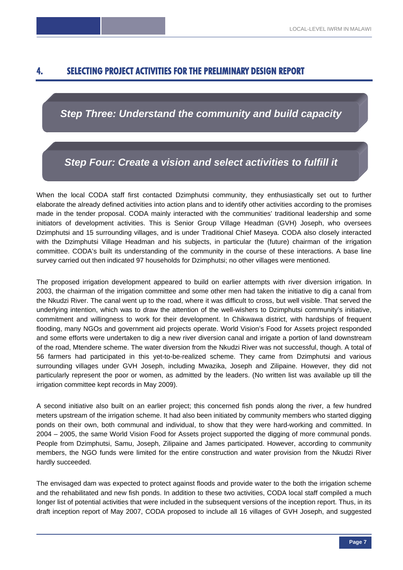# **4. SELECTING PROJECT ACTIVITIES FOR THE PRELIMINARY DESIGN REPORT**

# *Step Three: Understand the community and build capacity*

*Step Four: Create a vision and select activities to fulfill it* 

When the local CODA staff first contacted Dzimphutsi community, they enthusiastically set out to further elaborate the already defined activities into action plans and to identify other activities according to the promises made in the tender proposal. CODA mainly interacted with the communities' traditional leadership and some initiators of development activities. This is Senior Group Village Headman (GVH) Joseph, who oversees Dzimphutsi and 15 surrounding villages, and is under Traditional Chief Maseya. CODA also closely interacted with the Dzimphutsi Village Headman and his subjects, in particular the (future) chairman of the irrigation committee. CODA's built its understanding of the community in the course of these interactions. A base line survey carried out then indicated 97 households for Dzimphutsi; no other villages were mentioned.

The proposed irrigation development appeared to build on earlier attempts with river diversion irrigation. In 2003, the chairman of the irrigation committee and some other men had taken the initiative to dig a canal from the Nkudzi River. The canal went up to the road, where it was difficult to cross, but well visible. That served the underlying intention, which was to draw the attention of the well-wishers to Dzimphutsi community's initiative, commitment and willingness to work for their development. In Chikwawa district, with hardships of frequent flooding, many NGOs and government aid projects operate. World Vision's Food for Assets project responded and some efforts were undertaken to dig a new river diversion canal and irrigate a portion of land downstream of the road, Mtendere scheme. The water diversion from the Nkudzi River was not successful, though. A total of 56 farmers had participated in this yet-to-be-realized scheme. They came from Dzimphutsi and various surrounding villages under GVH Joseph, including Mwazika, Joseph and Zilipaine. However, they did not particularly represent the poor or women, as admitted by the leaders. (No written list was available up till the irrigation committee kept records in May 2009).

A second initiative also built on an earlier project; this concerned fish ponds along the river, a few hundred meters upstream of the irrigation scheme. It had also been initiated by community members who started digging ponds on their own, both communal and individual, to show that they were hard-working and committed. In 2004 – 2005, the same World Vision Food for Assets project supported the digging of more communal ponds. People from Dzimphutsi, Samu, Joseph, Zilipaine and James participated. However, according to community members, the NGO funds were limited for the entire construction and water provision from the Nkudzi River hardly succeeded.

The envisaged dam was expected to protect against floods and provide water to the both the irrigation scheme and the rehabilitated and new fish ponds. In addition to these two activities, CODA local staff compiled a much longer list of potential activities that were included in the subsequent versions of the inception report. Thus, in its draft inception report of May 2007, CODA proposed to include all 16 villages of GVH Joseph, and suggested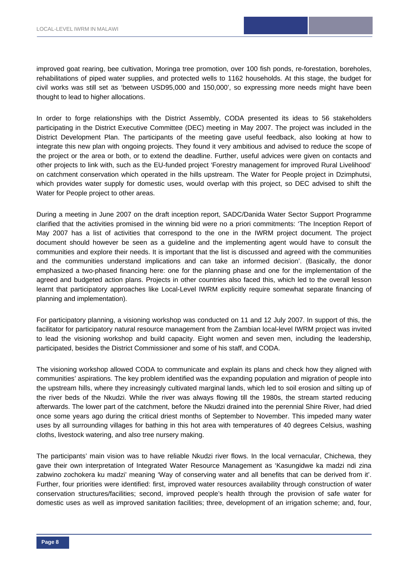improved goat rearing, bee cultivation, Moringa tree promotion, over 100 fish ponds, re-forestation, boreholes, rehabilitations of piped water supplies, and protected wells to 1162 households. At this stage, the budget for civil works was still set as 'between USD95,000 and 150,000', so expressing more needs might have been thought to lead to higher allocations.

In order to forge relationships with the District Assembly, CODA presented its ideas to 56 stakeholders participating in the District Executive Committee (DEC) meeting in May 2007. The project was included in the District Development Plan. The participants of the meeting gave useful feedback, also looking at how to integrate this new plan with ongoing projects. They found it very ambitious and advised to reduce the scope of the project or the area or both, or to extend the deadline. Further, useful advices were given on contacts and other projects to link with, such as the EU-funded project 'Forestry management for improved Rural Livelihood' on catchment conservation which operated in the hills upstream. The Water for People project in Dzimphutsi, which provides water supply for domestic uses, would overlap with this project, so DEC advised to shift the Water for People project to other areas.

During a meeting in June 2007 on the draft inception report, SADC/Danida Water Sector Support Programme clarified that the activities promised in the winning bid were no a priori commitments: 'The Inception Report of May 2007 has a list of activities that correspond to the one in the IWRM project document. The project document should however be seen as a guideline and the implementing agent would have to consult the communities and explore their needs. It is important that the list is discussed and agreed with the communities and the communities understand implications and can take an informed decision'. (Basically, the donor emphasized a two-phased financing here: one for the planning phase and one for the implementation of the agreed and budgeted action plans. Projects in other countries also faced this, which led to the overall lesson learnt that participatory approaches like Local-Level IWRM explicitly require somewhat separate financing of planning and implementation).

For participatory planning, a visioning workshop was conducted on 11 and 12 July 2007. In support of this, the facilitator for participatory natural resource management from the Zambian local-level IWRM project was invited to lead the visioning workshop and build capacity. Eight women and seven men, including the leadership, participated, besides the District Commissioner and some of his staff, and CODA.

The visioning workshop allowed CODA to communicate and explain its plans and check how they aligned with communities' aspirations. The key problem identified was the expanding population and migration of people into the upstream hills, where they increasingly cultivated marginal lands, which led to soil erosion and silting up of the river beds of the Nkudzi. While the river was always flowing till the 1980s, the stream started reducing afterwards. The lower part of the catchment, before the Nkudzi drained into the perennial Shire River, had dried once some years ago during the critical driest months of September to November. This impeded many water uses by all surrounding villages for bathing in this hot area with temperatures of 40 degrees Celsius, washing cloths, livestock watering, and also tree nursery making.

The participants' main vision was to have reliable Nkudzi river flows. In the local vernacular, Chichewa, they gave their own interpretation of Integrated Water Resource Management as 'Kasungidwe ka madzi ndi zina zabwino zochokera ku madzi' meaning 'Way of conserving water and all benefits that can be derived from it'. Further, four priorities were identified: first, improved water resources availability through construction of water conservation structures/facilities; second, improved people's health through the provision of safe water for domestic uses as well as improved sanitation facilities; three, development of an irrigation scheme; and, four,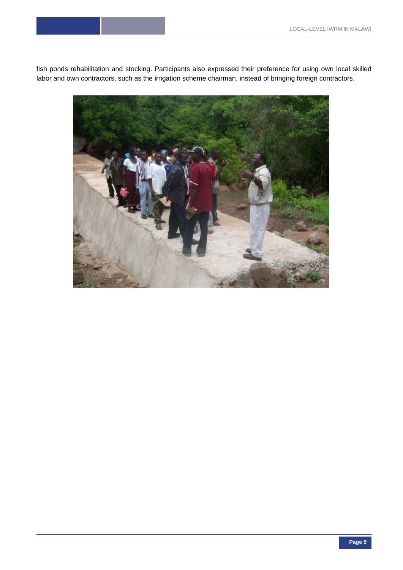fish ponds rehabilitation and stocking. Participants also expressed their preference for using own local skilled labor and own contractors, such as the irrigation scheme chairman, instead of bringing foreign contractors.

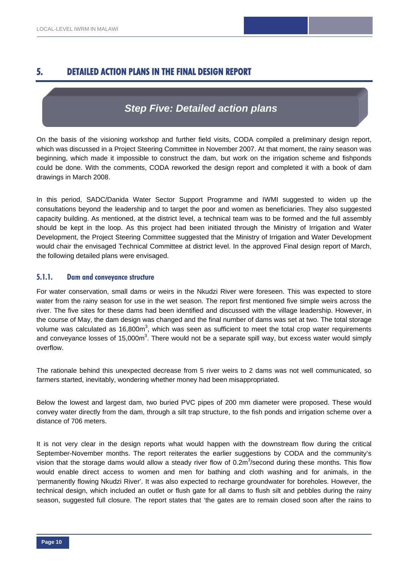# **5. DETAILED ACTION PLANS IN THE FINAL DESIGN REPORT**

# *Step Five: Detailed action plans*

On the basis of the visioning workshop and further field visits, CODA compiled a preliminary design report, which was discussed in a Project Steering Committee in November 2007. At that moment, the rainy season was beginning, which made it impossible to construct the dam, but work on the irrigation scheme and fishponds could be done. With the comments, CODA reworked the design report and completed it with a book of dam drawings in March 2008.

In this period, SADC/Danida Water Sector Support Programme and IWMI suggested to widen up the consultations beyond the leadership and to target the poor and women as beneficiaries. They also suggested capacity building. As mentioned, at the district level, a technical team was to be formed and the full assembly should be kept in the loop. As this project had been initiated through the Ministry of Irrigation and Water Development, the Project Steering Committee suggested that the Ministry of Irrigation and Water Development would chair the envisaged Technical Committee at district level. In the approved Final design report of March, the following detailed plans were envisaged.

#### **5.1.1. Dam and conveyance structure**

For water conservation, small dams or weirs in the Nkudzi River were foreseen. This was expected to store water from the rainy season for use in the wet season. The report first mentioned five simple weirs across the river. The five sites for these dams had been identified and discussed with the village leadership. However, in the course of May, the dam design was changed and the final number of dams was set at two. The total storage volume was calculated as 16,800m<sup>3</sup>, which was seen as sufficient to meet the total crop water requirements and conveyance losses of 15,000m<sup>3</sup>. There would not be a separate spill way, but excess water would simply overflow.

The rationale behind this unexpected decrease from 5 river weirs to 2 dams was not well communicated, so farmers started, inevitably, wondering whether money had been misappropriated.

Below the lowest and largest dam, two buried PVC pipes of 200 mm diameter were proposed. These would convey water directly from the dam, through a silt trap structure, to the fish ponds and irrigation scheme over a distance of 706 meters.

It is not very clear in the design reports what would happen with the downstream flow during the critical September-November months. The report reiterates the earlier suggestions by CODA and the community's vision that the storage dams would allow a steady river flow of 0.2m<sup>3</sup>/second during these months. This flow would enable direct access to women and men for bathing and cloth washing and for animals, in the 'permanently flowing Nkudzi River'. It was also expected to recharge groundwater for boreholes. However, the technical design, which included an outlet or flush gate for all dams to flush silt and pebbles during the rainy season, suggested full closure. The report states that 'the gates are to remain closed soon after the rains to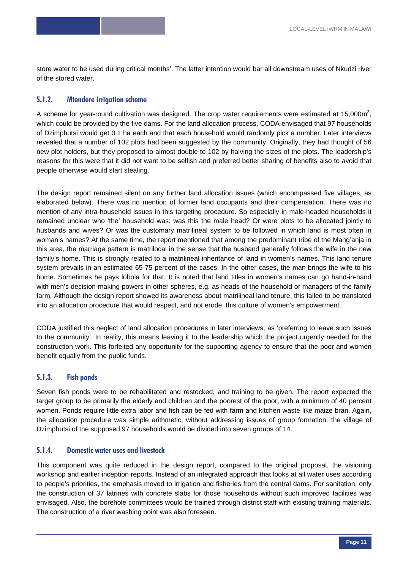store water to be used during critical months'. The latter intention would bar all downstream uses of Nkudzi river of the stored water.

#### **5.1.2. Mtendere Irrigation scheme**

A scheme for year-round cultivation was designed. The crop water requirements were estimated at 15,000m<sup>3</sup>, which could be provided by the five dams. For the land allocation process, CODA envisaged that 97 households of Dzimphutsi would get 0.1 ha each and that each household would randomly pick a number. Later interviews revealed that a number of 102 plots had been suggested by the community. Originally, they had thought of 56 new plot holders, but they proposed to almost double to 102 by halving the sizes of the plots. The leadership's reasons for this were that it did not want to be selfish and preferred better sharing of benefits also to avoid that people otherwise would start stealing.

The design report remained silent on any further land allocation issues (which encompassed five villages, as elaborated below). There was no mention of former land occupants and their compensation. There was no mention of any intra-household issues in this targeting procedure. So especially in male-headed households it remained unclear who 'the' household was: was this the male head? Or were plots to be allocated jointly to husbands and wives? Or was the customary matrilineal system to be followed in which land is most often in woman's names? At the same time, the report mentioned that among the predominant tribe of the Mang'anja in this area, the marriage pattern is matrilocal in the sense that the husband generally follows the wife in the new family's home. This is strongly related to a matrilineal inheritance of land in women's names. This land tenure system prevails in an estimated 65-75 percent of the cases. In the other cases, the man brings the wife to his home. Sometimes he pays lobola for that. It is noted that land titles in women's names can go hand-in-hand with men's decision-making powers in other spheres, e.g. as heads of the household or managers of the family farm. Although the design report showed its awareness about matrilineal land tenure, this failed to be translated into an allocation procedure that would respect, and not erode, this culture of women's empowerment.

CODA justified this neglect of land allocation procedures in later interviews, as 'preferring to leave such issues to the community'. In reality, this means leaving it to the leadership which the project urgently needed for the construction work. This forfeited any opportunity for the supporting agency to ensure that the poor and women benefit equally from the public funds.

#### **5.1.3. Fish ponds**

Seven fish ponds were to be rehabilitated and restocked, and training to be given. The report expected the target group to be primarily the elderly and children and the poorest of the poor, with a minimum of 40 percent women. Ponds require little extra labor and fish can be fed with farm and kitchen waste like maize bran. Again, the allocation procedure was simple arithmetic, without addressing issues of group formation: the village of Dzimphutsi of the supposed 97 households would be divided into seven groups of 14.

#### **5.1.4. Domestic water uses and livestock**

This component was quite reduced in the design report, compared to the original proposal, the visioning workshop and earlier inception reports. Instead of an integrated approach that looks at all water uses according to people's priorities, the emphasis moved to irrigation and fisheries from the central dams. For sanitation, only the construction of 37 latrines with concrete slabs for those households without such improved facilities was envisaged. Also, the borehole committees would be trained through district staff with existing training materials. The construction of a river washing point was also foreseen.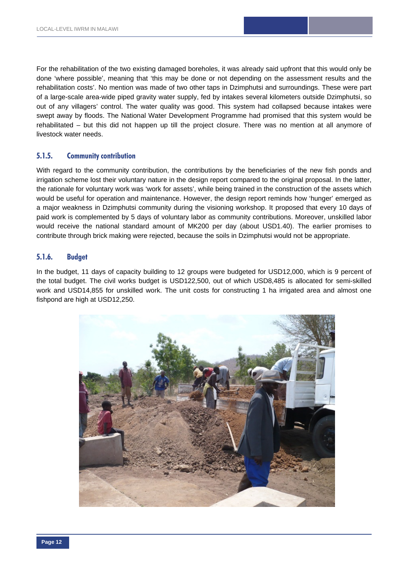For the rehabilitation of the two existing damaged boreholes, it was already said upfront that this would only be done 'where possible', meaning that 'this may be done or not depending on the assessment results and the rehabilitation costs'. No mention was made of two other taps in Dzimphutsi and surroundings. These were part of a large-scale area-wide piped gravity water supply, fed by intakes several kilometers outside Dzimphutsi, so out of any villagers' control. The water quality was good. This system had collapsed because intakes were swept away by floods. The National Water Development Programme had promised that this system would be rehabilitated – but this did not happen up till the project closure. There was no mention at all anymore of livestock water needs.

#### **5.1.5. Community contribution**

With regard to the community contribution, the contributions by the beneficiaries of the new fish ponds and irrigation scheme lost their voluntary nature in the design report compared to the original proposal. In the latter, the rationale for voluntary work was 'work for assets', while being trained in the construction of the assets which would be useful for operation and maintenance. However, the design report reminds how 'hunger' emerged as a major weakness in Dzimphutsi community during the visioning workshop. It proposed that every 10 days of paid work is complemented by 5 days of voluntary labor as community contributions. Moreover, unskilled labor would receive the national standard amount of MK200 per day (about USD1.40). The earlier promises to contribute through brick making were rejected, because the soils in Dzimphutsi would not be appropriate.

#### **5.1.6. Budget**

In the budget, 11 days of capacity building to 12 groups were budgeted for USD12,000, which is 9 percent of the total budget. The civil works budget is USD122,500, out of which USD8,485 is allocated for semi-skilled work and USD14,855 for unskilled work. The unit costs for constructing 1 ha irrigated area and almost one fishpond are high at USD12,250.

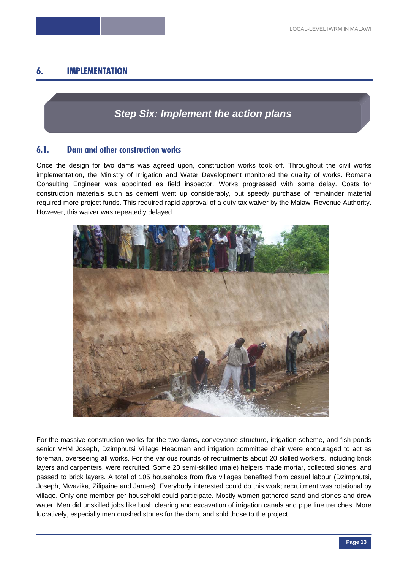# **6. IMPLEMENTATION**

# *Step Six: Implement the action plans*

# **6.1. Dam and other construction works**

Once the design for two dams was agreed upon, construction works took off. Throughout the civil works implementation, the Ministry of Irrigation and Water Development monitored the quality of works. Romana Consulting Engineer was appointed as field inspector. Works progressed with some delay. Costs for construction materials such as cement went up considerably, but speedy purchase of remainder material required more project funds. This required rapid approval of a duty tax waiver by the Malawi Revenue Authority. However, this waiver was repeatedly delayed.



For the massive construction works for the two dams, conveyance structure, irrigation scheme, and fish ponds senior VHM Joseph, Dzimphutsi Village Headman and irrigation committee chair were encouraged to act as foreman, overseeing all works. For the various rounds of recruitments about 20 skilled workers, including brick layers and carpenters, were recruited. Some 20 semi-skilled (male) helpers made mortar, collected stones, and passed to brick layers. A total of 105 households from five villages benefited from casual labour (Dzimphutsi, Joseph, Mwazika, Zilipaine and James). Everybody interested could do this work; recruitment was rotational by village. Only one member per household could participate. Mostly women gathered sand and stones and drew water. Men did unskilled jobs like bush clearing and excavation of irrigation canals and pipe line trenches. More lucratively, especially men crushed stones for the dam, and sold those to the project.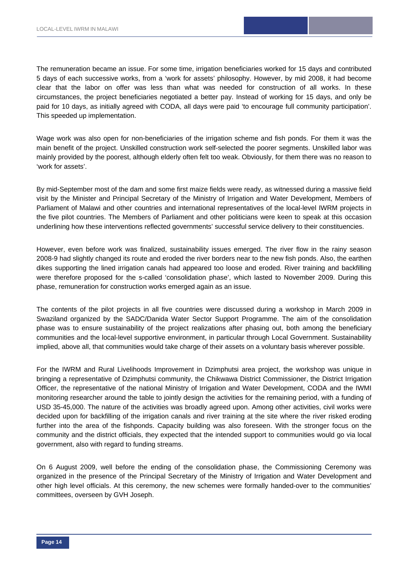The remuneration became an issue. For some time, irrigation beneficiaries worked for 15 days and contributed 5 days of each successive works, from a 'work for assets' philosophy. However, by mid 2008, it had become clear that the labor on offer was less than what was needed for construction of all works. In these circumstances, the project beneficiaries negotiated a better pay. Instead of working for 15 days, and only be paid for 10 days, as initially agreed with CODA, all days were paid 'to encourage full community participation'. This speeded up implementation.

Wage work was also open for non-beneficiaries of the irrigation scheme and fish ponds. For them it was the main benefit of the project. Unskilled construction work self-selected the poorer segments. Unskilled labor was mainly provided by the poorest, although elderly often felt too weak. Obviously, for them there was no reason to 'work for assets'.

By mid-September most of the dam and some first maize fields were ready, as witnessed during a massive field visit by the Minister and Principal Secretary of the Ministry of Irrigation and Water Development, Members of Parliament of Malawi and other countries and international representatives of the local-level IWRM projects in the five pilot countries. The Members of Parliament and other politicians were keen to speak at this occasion underlining how these interventions reflected governments' successful service delivery to their constituencies.

However, even before work was finalized, sustainability issues emerged. The river flow in the rainy season 2008-9 had slightly changed its route and eroded the river borders near to the new fish ponds. Also, the earthen dikes supporting the lined irrigation canals had appeared too loose and eroded. River training and backfilling were therefore proposed for the s-called 'consolidation phase', which lasted to November 2009. During this phase, remuneration for construction works emerged again as an issue.

The contents of the pilot projects in all five countries were discussed during a workshop in March 2009 in Swaziland organized by the SADC/Danida Water Sector Support Programme. The aim of the consolidation phase was to ensure sustainability of the project realizations after phasing out, both among the beneficiary communities and the local-level supportive environment, in particular through Local Government. Sustainability implied, above all, that communities would take charge of their assets on a voluntary basis wherever possible.

For the IWRM and Rural Livelihoods Improvement in Dzimphutsi area project, the workshop was unique in bringing a representative of Dzimphutsi community, the Chikwawa District Commissioner, the District Irrigation Officer, the representative of the national Ministry of Irrigation and Water Development, CODA and the IWMI monitoring researcher around the table to jointly design the activities for the remaining period, with a funding of USD 35-45,000. The nature of the activities was broadly agreed upon. Among other activities, civil works were decided upon for backfilling of the irrigation canals and river training at the site where the river risked eroding further into the area of the fishponds. Capacity building was also foreseen. With the stronger focus on the community and the district officials, they expected that the intended support to communities would go via local government, also with regard to funding streams.

On 6 August 2009, well before the ending of the consolidation phase, the Commissioning Ceremony was organized in the presence of the Principal Secretary of the Ministry of Irrigation and Water Development and other high level officials. At this ceremony, the new schemes were formally handed-over to the communities' committees, overseen by GVH Joseph.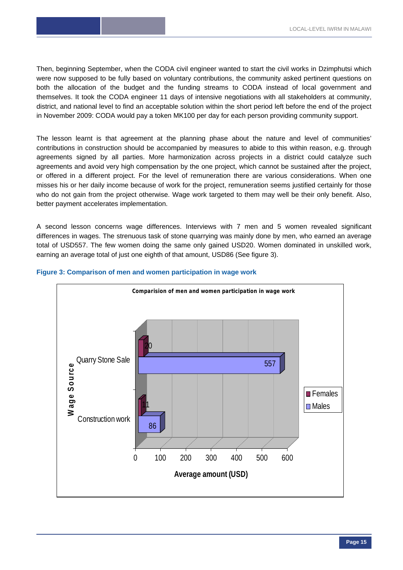Then, beginning September, when the CODA civil engineer wanted to start the civil works in Dzimphutsi which were now supposed to be fully based on voluntary contributions, the community asked pertinent questions on both the allocation of the budget and the funding streams to CODA instead of local government and themselves. It took the CODA engineer 11 days of intensive negotiations with all stakeholders at community, district, and national level to find an acceptable solution within the short period left before the end of the project in November 2009: CODA would pay a token MK100 per day for each person providing community support.

The lesson learnt is that agreement at the planning phase about the nature and level of communities' contributions in construction should be accompanied by measures to abide to this within reason, e.g. through agreements signed by all parties. More harmonization across projects in a district could catalyze such agreements and avoid very high compensation by the one project, which cannot be sustained after the project, or offered in a different project. For the level of remuneration there are various considerations. When one misses his or her daily income because of work for the project, remuneration seems justified certainly for those who do not gain from the project otherwise. Wage work targeted to them may well be their only benefit. Also, better payment accelerates implementation.

A second lesson concerns wage differences. Interviews with 7 men and 5 women revealed significant differences in wages. The strenuous task of stone quarrying was mainly done by men, who earned an average total of USD557. The few women doing the same only gained USD20. Women dominated in unskilled work, earning an average total of just one eighth of that amount, USD86 (See figure 3).



#### **Figure 3: Comparison of men and women participation in wage work**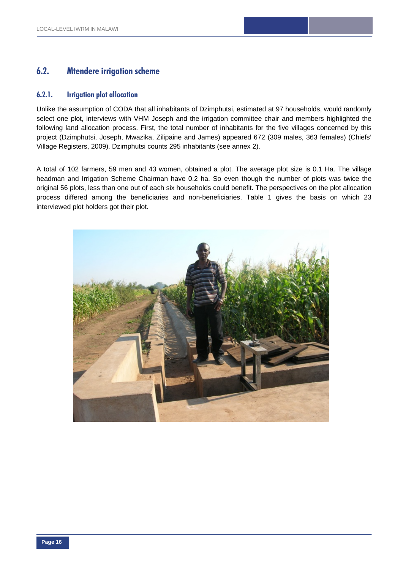# **6.2. Mtendere irrigation scheme**

#### **6.2.1. Irrigation plot allocation**

Unlike the assumption of CODA that all inhabitants of Dzimphutsi, estimated at 97 households, would randomly select one plot, interviews with VHM Joseph and the irrigation committee chair and members highlighted the following land allocation process. First, the total number of inhabitants for the five villages concerned by this project (Dzimphutsi, Joseph, Mwazika, Zilipaine and James) appeared 672 (309 males, 363 females) (Chiefs' Village Registers, 2009). Dzimphutsi counts 295 inhabitants (see annex 2).

A total of 102 farmers, 59 men and 43 women, obtained a plot. The average plot size is 0.1 Ha. The village headman and Irrigation Scheme Chairman have 0.2 ha. So even though the number of plots was twice the original 56 plots, less than one out of each six households could benefit. The perspectives on the plot allocation process differed among the beneficiaries and non-beneficiaries. Table 1 gives the basis on which 23 interviewed plot holders got their plot.

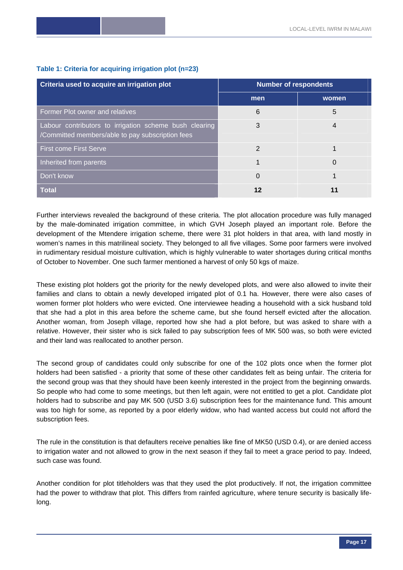| Criteria used to acquire an irrigation plot                                                                | <b>Number of respondents</b> |       |  |  |
|------------------------------------------------------------------------------------------------------------|------------------------------|-------|--|--|
|                                                                                                            | men                          | women |  |  |
| Former Plot owner and relatives                                                                            | 6                            | 5     |  |  |
| Labour contributors to irrigation scheme bush clearing<br>/Committed members/able to pay subscription fees | 3                            | 4     |  |  |
| <b>First come First Serve</b>                                                                              | 2                            |       |  |  |
| Inherited from parents                                                                                     |                              | 0     |  |  |
| Don't know                                                                                                 | 0                            |       |  |  |
| <b>Total</b>                                                                                               | 12                           | 11    |  |  |

#### **Table 1: Criteria for acquiring irrigation plot (n=23)**

Further interviews revealed the background of these criteria. The plot allocation procedure was fully managed by the male-dominated irrigation committee, in which GVH Joseph played an important role. Before the development of the Mtendere irrigation scheme, there were 31 plot holders in that area, with land mostly in women's names in this matrilineal society. They belonged to all five villages. Some poor farmers were involved in rudimentary residual moisture cultivation, which is highly vulnerable to water shortages during critical months of October to November. One such farmer mentioned a harvest of only 50 kgs of maize.

These existing plot holders got the priority for the newly developed plots, and were also allowed to invite their families and clans to obtain a newly developed irrigated plot of 0.1 ha. However, there were also cases of women former plot holders who were evicted. One interviewee heading a household with a sick husband told that she had a plot in this area before the scheme came, but she found herself evicted after the allocation. Another woman, from Joseph village, reported how she had a plot before, but was asked to share with a relative. However, their sister who is sick failed to pay subscription fees of MK 500 was, so both were evicted and their land was reallocated to another person.

The second group of candidates could only subscribe for one of the 102 plots once when the former plot holders had been satisfied - a priority that some of these other candidates felt as being unfair. The criteria for the second group was that they should have been keenly interested in the project from the beginning onwards. So people who had come to some meetings, but then left again, were not entitled to get a plot. Candidate plot holders had to subscribe and pay MK 500 (USD 3.6) subscription fees for the maintenance fund. This amount was too high for some, as reported by a poor elderly widow, who had wanted access but could not afford the subscription fees.

The rule in the constitution is that defaulters receive penalties like fine of MK50 (USD 0.4), or are denied access to irrigation water and not allowed to grow in the next season if they fail to meet a grace period to pay. Indeed, such case was found.

Another condition for plot titleholders was that they used the plot productively. If not, the irrigation committee had the power to withdraw that plot. This differs from rainfed agriculture, where tenure security is basically lifelong.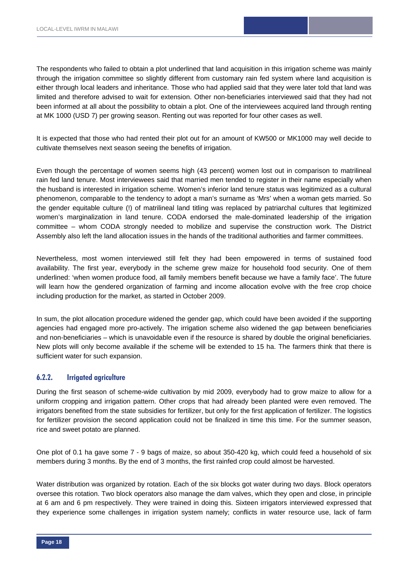The respondents who failed to obtain a plot underlined that land acquisition in this irrigation scheme was mainly through the irrigation committee so slightly different from customary rain fed system where land acquisition is either through local leaders and inheritance. Those who had applied said that they were later told that land was limited and therefore advised to wait for extension. Other non-beneficiaries interviewed said that they had not been informed at all about the possibility to obtain a plot. One of the interviewees acquired land through renting at MK 1000 (USD 7) per growing season. Renting out was reported for four other cases as well.

It is expected that those who had rented their plot out for an amount of KW500 or MK1000 may well decide to cultivate themselves next season seeing the benefits of irrigation.

Even though the percentage of women seems high (43 percent) women lost out in comparison to matrilineal rain fed land tenure. Most interviewees said that married men tended to register in their name especially when the husband is interested in irrigation scheme. Women's inferior land tenure status was legitimized as a cultural phenomenon, comparable to the tendency to adopt a man's surname as 'Mrs' when a woman gets married. So the gender equitable culture (!) of matrilineal land titling was replaced by patriarchal cultures that legitimized women's marginalization in land tenure. CODA endorsed the male-dominated leadership of the irrigation committee – whom CODA strongly needed to mobilize and supervise the construction work. The District Assembly also left the land allocation issues in the hands of the traditional authorities and farmer committees.

Nevertheless, most women interviewed still felt they had been empowered in terms of sustained food availability. The first year, everybody in the scheme grew maize for household food security. One of them underlined: 'when women produce food, all family members benefit because we have a family face'. The future will learn how the gendered organization of farming and income allocation evolve with the free crop choice including production for the market, as started in October 2009.

In sum, the plot allocation procedure widened the gender gap, which could have been avoided if the supporting agencies had engaged more pro-actively. The irrigation scheme also widened the gap between beneficiaries and non-beneficiaries – which is unavoidable even if the resource is shared by double the original beneficiaries. New plots will only become available if the scheme will be extended to 15 ha. The farmers think that there is sufficient water for such expansion.

#### **6.2.2. Irrigated agriculture**

During the first season of scheme-wide cultivation by mid 2009, everybody had to grow maize to allow for a uniform cropping and irrigation pattern. Other crops that had already been planted were even removed. The irrigators benefited from the state subsidies for fertilizer, but only for the first application of fertilizer. The logistics for fertilizer provision the second application could not be finalized in time this time. For the summer season, rice and sweet potato are planned.

One plot of 0.1 ha gave some 7 - 9 bags of maize, so about 350-420 kg, which could feed a household of six members during 3 months. By the end of 3 months, the first rainfed crop could almost be harvested.

Water distribution was organized by rotation. Each of the six blocks got water during two days. Block operators oversee this rotation. Two block operators also manage the dam valves, which they open and close, in principle at 6 am and 6 pm respectively. They were trained in doing this. Sixteen irrigators interviewed expressed that they experience some challenges in irrigation system namely; conflicts in water resource use, lack of farm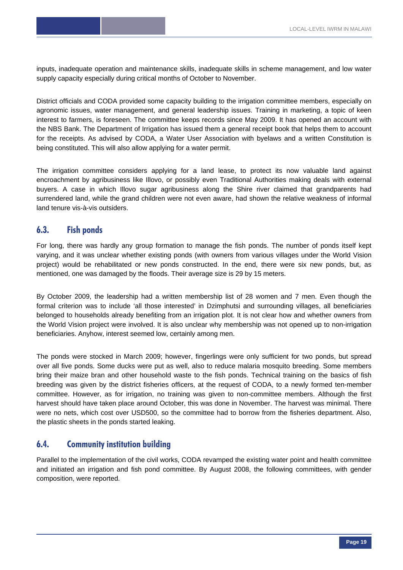inputs, inadequate operation and maintenance skills, inadequate skills in scheme management, and low water supply capacity especially during critical months of October to November.

District officials and CODA provided some capacity building to the irrigation committee members, especially on agronomic issues, water management, and general leadership issues. Training in marketing, a topic of keen interest to farmers, is foreseen. The committee keeps records since May 2009. It has opened an account with the NBS Bank. The Department of Irrigation has issued them a general receipt book that helps them to account for the receipts. As advised by CODA, a Water User Association with byelaws and a written Constitution is being constituted. This will also allow applying for a water permit.

The irrigation committee considers applying for a land lease, to protect its now valuable land against encroachment by agribusiness like Illovo, or possibly even Traditional Authorities making deals with external buyers. A case in which Illovo sugar agribusiness along the Shire river claimed that grandparents had surrendered land, while the grand children were not even aware, had shown the relative weakness of informal land tenure vis-à-vis outsiders.

# **6.3. Fish ponds**

For long, there was hardly any group formation to manage the fish ponds. The number of ponds itself kept varying, and it was unclear whether existing ponds (with owners from various villages under the World Vision project) would be rehabilitated or new ponds constructed. In the end, there were six new ponds, but, as mentioned, one was damaged by the floods. Their average size is 29 by 15 meters.

By October 2009, the leadership had a written membership list of 28 women and 7 men. Even though the formal criterion was to include 'all those interested' in Dzimphutsi and surrounding villages, all beneficiaries belonged to households already benefiting from an irrigation plot. It is not clear how and whether owners from the World Vision project were involved. It is also unclear why membership was not opened up to non-irrigation beneficiaries. Anyhow, interest seemed low, certainly among men.

The ponds were stocked in March 2009; however, fingerlings were only sufficient for two ponds, but spread over all five ponds. Some ducks were put as well, also to reduce malaria mosquito breeding. Some members bring their maize bran and other household waste to the fish ponds. Technical training on the basics of fish breeding was given by the district fisheries officers, at the request of CODA, to a newly formed ten-member committee. However, as for irrigation, no training was given to non-committee members. Although the first harvest should have taken place around October, this was done in November. The harvest was minimal. There were no nets, which cost over USD500, so the committee had to borrow from the fisheries department. Also, the plastic sheets in the ponds started leaking.

# **6.4. Community institution building**

Parallel to the implementation of the civil works, CODA revamped the existing water point and health committee and initiated an irrigation and fish pond committee. By August 2008, the following committees, with gender composition, were reported.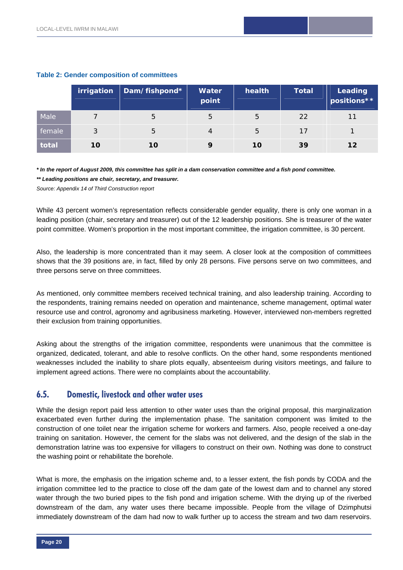|        | irrigation | Dam/fishpond* | Water<br>point | health | <b>Total</b> | Leading<br>positions** |
|--------|------------|---------------|----------------|--------|--------------|------------------------|
| Male   |            | 5             | 5              | b      | 22           |                        |
| female | 3          | 5             | 4              | b      | 17           |                        |
| total  | 10         | 10            |                | 10     | 39           | $12 \,$                |

#### **Table 2: Gender composition of committees**

*\* In the report of August 2009, this committee has split in a dam conservation committee and a fish pond committee. \*\* Leading positions are chair, secretary, and treasurer.* 

*Source: Appendix 14 of Third Construction report* 

While 43 percent women's representation reflects considerable gender equality, there is only one woman in a leading position (chair, secretary and treasurer) out of the 12 leadership positions. She is treasurer of the water point committee. Women's proportion in the most important committee, the irrigation committee, is 30 percent.

Also, the leadership is more concentrated than it may seem. A closer look at the composition of committees shows that the 39 positions are, in fact, filled by only 28 persons. Five persons serve on two committees, and three persons serve on three committees.

As mentioned, only committee members received technical training, and also leadership training. According to the respondents, training remains needed on operation and maintenance, scheme management, optimal water resource use and control, agronomy and agribusiness marketing. However, interviewed non-members regretted their exclusion from training opportunities.

Asking about the strengths of the irrigation committee, respondents were unanimous that the committee is organized, dedicated, tolerant, and able to resolve conflicts. On the other hand, some respondents mentioned weaknesses included the inability to share plots equally, absenteeism during visitors meetings, and failure to implement agreed actions. There were no complaints about the accountability.

## **6.5. Domestic, livestock and other water uses**

While the design report paid less attention to other water uses than the original proposal, this marginalization exacerbated even further during the implementation phase. The sanitation component was limited to the construction of one toilet near the irrigation scheme for workers and farmers. Also, people received a one-day training on sanitation. However, the cement for the slabs was not delivered, and the design of the slab in the demonstration latrine was too expensive for villagers to construct on their own. Nothing was done to construct the washing point or rehabilitate the borehole.

What is more, the emphasis on the irrigation scheme and, to a lesser extent, the fish ponds by CODA and the irrigation committee led to the practice to close off the dam gate of the lowest dam and to channel any stored water through the two buried pipes to the fish pond and irrigation scheme. With the drying up of the riverbed downstream of the dam, any water uses there became impossible. People from the village of Dzimphutsi immediately downstream of the dam had now to walk further up to access the stream and two dam reservoirs.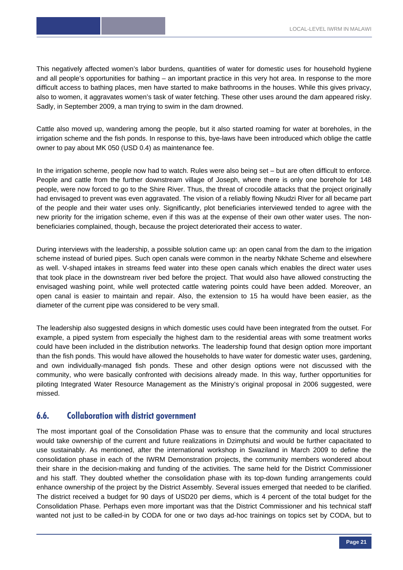This negatively affected women's labor burdens, quantities of water for domestic uses for household hygiene and all people's opportunities for bathing – an important practice in this very hot area. In response to the more difficult access to bathing places, men have started to make bathrooms in the houses. While this gives privacy, also to women, it aggravates women's task of water fetching. These other uses around the dam appeared risky. Sadly, in September 2009, a man trying to swim in the dam drowned.

Cattle also moved up, wandering among the people, but it also started roaming for water at boreholes, in the irrigation scheme and the fish ponds. In response to this, bye-laws have been introduced which oblige the cattle owner to pay about MK 050 (USD 0.4) as maintenance fee.

In the irrigation scheme, people now had to watch. Rules were also being set – but are often difficult to enforce. People and cattle from the further downstream village of Joseph, where there is only one borehole for 148 people, were now forced to go to the Shire River. Thus, the threat of crocodile attacks that the project originally had envisaged to prevent was even aggravated. The vision of a reliably flowing Nkudzi River for all became part of the people and their water uses only. Significantly, plot beneficiaries interviewed tended to agree with the new priority for the irrigation scheme, even if this was at the expense of their own other water uses. The nonbeneficiaries complained, though, because the project deteriorated their access to water.

During interviews with the leadership, a possible solution came up: an open canal from the dam to the irrigation scheme instead of buried pipes. Such open canals were common in the nearby Nkhate Scheme and elsewhere as well. V-shaped intakes in streams feed water into these open canals which enables the direct water uses that took place in the downstream river bed before the project. That would also have allowed constructing the envisaged washing point, while well protected cattle watering points could have been added. Moreover, an open canal is easier to maintain and repair. Also, the extension to 15 ha would have been easier, as the diameter of the current pipe was considered to be very small.

The leadership also suggested designs in which domestic uses could have been integrated from the outset. For example, a piped system from especially the highest dam to the residential areas with some treatment works could have been included in the distribution networks. The leadership found that design option more important than the fish ponds. This would have allowed the households to have water for domestic water uses, gardening, and own individually-managed fish ponds. These and other design options were not discussed with the community, who were basically confronted with decisions already made. In this way, further opportunities for piloting Integrated Water Resource Management as the Ministry's original proposal in 2006 suggested, were missed.

## **6.6. Collaboration with district government**

The most important goal of the Consolidation Phase was to ensure that the community and local structures would take ownership of the current and future realizations in Dzimphutsi and would be further capacitated to use sustainably. As mentioned, after the international workshop in Swaziland in March 2009 to define the consolidation phase in each of the IWRM Demonstration projects, the community members wondered about their share in the decision-making and funding of the activities. The same held for the District Commissioner and his staff. They doubted whether the consolidation phase with its top-down funding arrangements could enhance ownership of the project by the District Assembly. Several issues emerged that needed to be clarified. The district received a budget for 90 days of USD20 per diems, which is 4 percent of the total budget for the Consolidation Phase. Perhaps even more important was that the District Commissioner and his technical staff wanted not just to be called-in by CODA for one or two days ad-hoc trainings on topics set by CODA, but to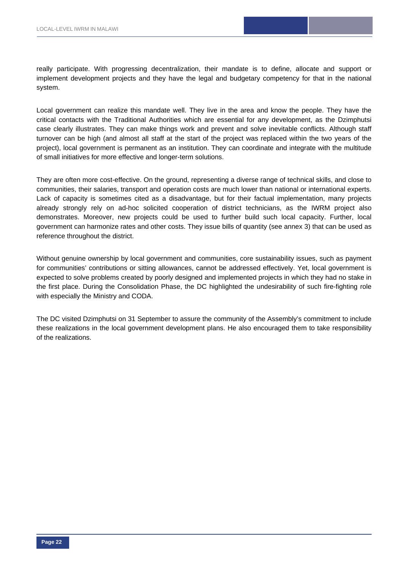really participate. With progressing decentralization, their mandate is to define, allocate and support or implement development projects and they have the legal and budgetary competency for that in the national system.

Local government can realize this mandate well. They live in the area and know the people. They have the critical contacts with the Traditional Authorities which are essential for any development, as the Dzimphutsi case clearly illustrates. They can make things work and prevent and solve inevitable conflicts. Although staff turnover can be high (and almost all staff at the start of the project was replaced within the two years of the project), local government is permanent as an institution. They can coordinate and integrate with the multitude of small initiatives for more effective and longer-term solutions.

They are often more cost-effective. On the ground, representing a diverse range of technical skills, and close to communities, their salaries, transport and operation costs are much lower than national or international experts. Lack of capacity is sometimes cited as a disadvantage, but for their factual implementation, many projects already strongly rely on ad-hoc solicited cooperation of district technicians, as the IWRM project also demonstrates. Moreover, new projects could be used to further build such local capacity. Further, local government can harmonize rates and other costs. They issue bills of quantity (see annex 3) that can be used as reference throughout the district.

Without genuine ownership by local government and communities, core sustainability issues, such as payment for communities' contributions or sitting allowances, cannot be addressed effectively. Yet, local government is expected to solve problems created by poorly designed and implemented projects in which they had no stake in the first place. During the Consolidation Phase, the DC highlighted the undesirability of such fire-fighting role with especially the Ministry and CODA.

The DC visited Dzimphutsi on 31 September to assure the community of the Assembly's commitment to include these realizations in the local government development plans. He also encouraged them to take responsibility of the realizations.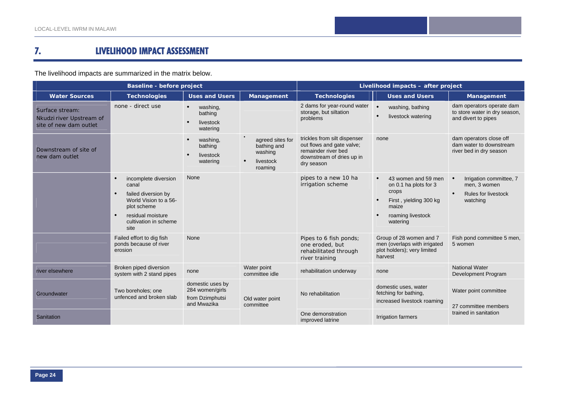#### **7.LIVELIHOOD IMPACT ASSESSMENT**

The livelihood impacts are summarized in the matrix below.

|                                                                       | Baseline - before project                                                                                                                          |                                                                       | Livelihood impacts - after project                                              |                                                                                                                             |                                                                                                                                                     |                                                                                                             |
|-----------------------------------------------------------------------|----------------------------------------------------------------------------------------------------------------------------------------------------|-----------------------------------------------------------------------|---------------------------------------------------------------------------------|-----------------------------------------------------------------------------------------------------------------------------|-----------------------------------------------------------------------------------------------------------------------------------------------------|-------------------------------------------------------------------------------------------------------------|
| <b>Water Sources</b>                                                  | <b>Technologies</b>                                                                                                                                | <b>Uses and Users</b>                                                 | Management                                                                      | <b>Technologies</b>                                                                                                         | <b>Uses and Users</b>                                                                                                                               | Management                                                                                                  |
| Surface stream:<br>Nkudzi river Upstream of<br>site of new dam outlet | none - direct use                                                                                                                                  | washing,<br>bathing<br>livestock<br>watering                          |                                                                                 | 2 dams for year-round water<br>storage, but siltation<br>problems                                                           | $\bullet$<br>washing, bathing<br>$\bullet$<br>livestock watering                                                                                    | dam operators operate dam<br>to store water in dry season,<br>and divert to pipes                           |
| Downstream of site of<br>new dam outlet                               |                                                                                                                                                    | washing,<br>bathing<br>livestock<br>watering                          | agreed sites for<br>bathing and<br>washing<br>$\bullet$<br>livestock<br>roaming | trickles from silt dispenser<br>out flows and gate valve;<br>remainder river bed<br>downstream of dries up in<br>dry season | none                                                                                                                                                | dam operators close off<br>dam water to downstream<br>river bed in dry season                               |
|                                                                       | incomplete diversion<br>canal<br>failed diversion by<br>World Vision to a 56-<br>plot scheme<br>residual moisture<br>cultivation in scheme<br>site | None                                                                  |                                                                                 | pipes to a new 10 ha<br>irrigation scheme                                                                                   | 43 women and 59 men<br>$\bullet$<br>on 0.1 ha plots for 3<br>crops<br>First, yielding 300 kg<br>$\bullet$<br>maize<br>roaming livestock<br>watering | Irrigation committee, 7<br>$\bullet$<br>men, 3 women<br><b>Rules for livestock</b><br>$\bullet$<br>watching |
|                                                                       | Failed effort to dig fish<br>ponds because of river<br>erosion                                                                                     | None                                                                  |                                                                                 | Pipes to 6 fish ponds;<br>one eroded, but<br>rehabilitated through<br>river training                                        | Group of 28 women and 7<br>men (overlaps with irrigated<br>plot holders); very limited<br>harvest                                                   | Fish pond committee 5 men,<br>5 women                                                                       |
| river elsewhere                                                       | Broken piped diversion<br>system with 2 stand pipes                                                                                                | none                                                                  | Water point<br>committee idle                                                   | rehabilitation underway                                                                                                     | none                                                                                                                                                | <b>National Water</b><br>Development Program                                                                |
| Groundwater                                                           | Two boreholes: one<br>unfenced and broken slab                                                                                                     | domestic uses by<br>284 women/girls<br>from Dzimphutsi<br>and Mwazika | Old water point<br>committee                                                    | No rehabilitation                                                                                                           | domestic uses, water<br>fetching for bathing,<br>increased livestock roaming                                                                        | Water point committee<br>27 committee members                                                               |
| Sanitation                                                            |                                                                                                                                                    |                                                                       |                                                                                 | One demonstration<br>improved latrine                                                                                       | Irrigation farmers                                                                                                                                  | trained in sanitation                                                                                       |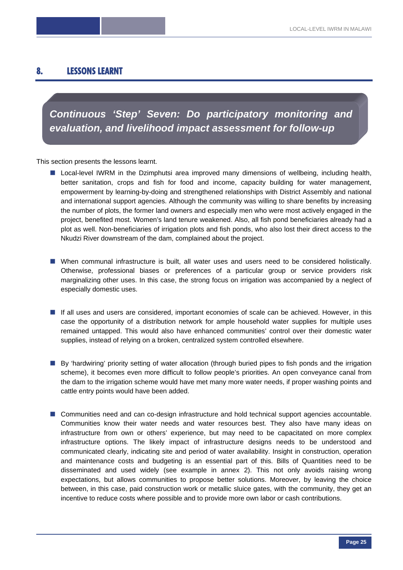# **8. LESSONS LEARNT**

*Continuous 'Step' Seven: Do participatory monitoring and evaluation, and livelihood impact assessment for follow-up* 

This section presents the lessons learnt.

- **Lacal-level IWRM** in the Dzimphutsi area improved many dimensions of wellbeing, including health, better sanitation, crops and fish for food and income, capacity building for water management, empowerment by learning-by-doing and strengthened relationships with District Assembly and national and international support agencies. Although the community was willing to share benefits by increasing the number of plots, the former land owners and especially men who were most actively engaged in the project, benefited most. Women's land tenure weakened. Also, all fish pond beneficiaries already had a plot as well. Non-beneficiaries of irrigation plots and fish ponds, who also lost their direct access to the Nkudzi River downstream of the dam, complained about the project.
- When communal infrastructure is built, all water uses and users need to be considered holistically. Otherwise, professional biases or preferences of a particular group or service providers risk marginalizing other uses. In this case, the strong focus on irrigation was accompanied by a neglect of especially domestic uses.
- If all uses and users are considered, important economies of scale can be achieved. However, in this case the opportunity of a distribution network for ample household water supplies for multiple uses remained untapped. This would also have enhanced communities' control over their domestic water supplies, instead of relying on a broken, centralized system controlled elsewhere.
- By 'hardwiring' priority setting of water allocation (through buried pipes to fish ponds and the irrigation scheme), it becomes even more difficult to follow people's priorities. An open conveyance canal from the dam to the irrigation scheme would have met many more water needs, if proper washing points and cattle entry points would have been added.
- **E** Communities need and can co-design infrastructure and hold technical support agencies accountable. Communities know their water needs and water resources best. They also have many ideas on infrastructure from own or others' experience, but may need to be capacitated on more complex infrastructure options. The likely impact of infrastructure designs needs to be understood and communicated clearly, indicating site and period of water availability. Insight in construction, operation and maintenance costs and budgeting is an essential part of this. Bills of Quantities need to be disseminated and used widely (see example in annex 2). This not only avoids raising wrong expectations, but allows communities to propose better solutions. Moreover, by leaving the choice between, in this case, paid construction work or metallic sluice gates, with the community, they get an incentive to reduce costs where possible and to provide more own labor or cash contributions.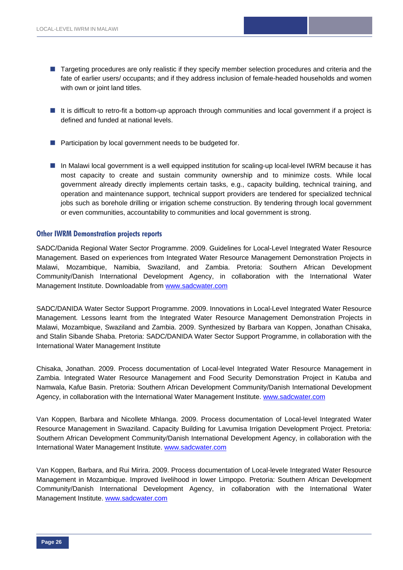- Targeting procedures are only realistic if they specify member selection procedures and criteria and the fate of earlier users/ occupants; and if they address inclusion of female-headed households and women with own or joint land titles.
- It is difficult to retro-fit a bottom-up approach through communities and local government if a project is defined and funded at national levels.
- **Participation by local government needs to be budgeted for.**
- In Malawi local government is a well equipped institution for scaling-up local-level IWRM because it has most capacity to create and sustain community ownership and to minimize costs. While local government already directly implements certain tasks, e.g., capacity building, technical training, and operation and maintenance support, technical support providers are tendered for specialized technical jobs such as borehole drilling or irrigation scheme construction. By tendering through local government or even communities, accountability to communities and local government is strong.

#### **Other IWRM Demonstration projects reports**

SADC/Danida Regional Water Sector Programme. 2009. Guidelines for Local-Level Integrated Water Resource Management. Based on experiences from Integrated Water Resource Management Demonstration Projects in Malawi, Mozambique, Namibia, Swaziland, and Zambia. Pretoria: Southern African Development Community/Danish International Development Agency, in collaboration with the International Water Management Institute. Downloadable from www.sadcwater.com

SADC/DANIDA Water Sector Support Programme. 2009. Innovations in Local-Level Integrated Water Resource Management. Lessons learnt from the Integrated Water Resource Management Demonstration Projects in Malawi, Mozambique, Swaziland and Zambia. 2009. Synthesized by Barbara van Koppen, Jonathan Chisaka, and Stalin Sibande Shaba. Pretoria: SADC/DANIDA Water Sector Support Programme, in collaboration with the International Water Management Institute

Chisaka, Jonathan. 2009. Process documentation of Local-level Integrated Water Resource Management in Zambia. Integrated Water Resource Management and Food Security Demonstration Project in Katuba and Namwala, Kafue Basin. Pretoria: Southern African Development Community/Danish International Development Agency, in collaboration with the International Water Management Institute. www.sadcwater.com

Van Koppen, Barbara and Nicollete Mhlanga. 2009. Process documentation of Local-level Integrated Water Resource Management in Swaziland. Capacity Building for Lavumisa Irrigation Development Project. Pretoria: Southern African Development Community/Danish International Development Agency, in collaboration with the International Water Management Institute. www.sadcwater.com

Van Koppen, Barbara, and Rui Mirira. 2009. Process documentation of Local-levele Integrated Water Resource Management in Mozambique. Improved livelihood in lower Limpopo. Pretoria: Southern African Development Community/Danish International Development Agency, in collaboration with the International Water Management Institute. www.sadcwater.com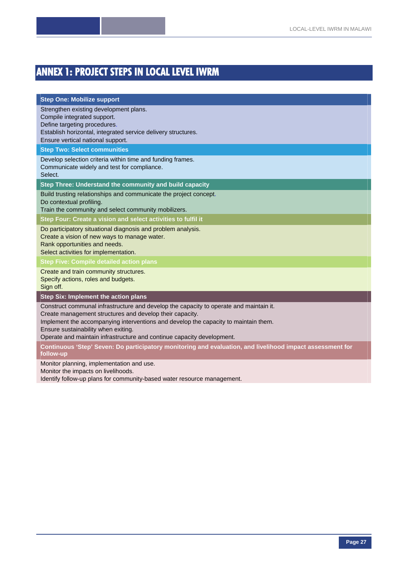# **ANNEX 1: PROJECT STEPS IN LOCAL LEVEL IWRM**

#### **Step One: Mobilize support**

Strengthen existing development plans.

Compile integrated support.

Define targeting procedures.

Establish horizontal, integrated service delivery structures.

Ensure vertical national support.

**Step Two: Select communities** 

Develop selection criteria within time and funding frames.

Communicate widely and test for compliance.

Select.

**Step Three: Understand the community and build capacity** 

Build trusting relationships and communicate the project concept.

Do contextual profiling.

Train the community and select community mobilizers.

**Step Four: Create a vision and select activities to fulfil it** 

Do participatory situational diagnosis and problem analysis.

Create a vision of new ways to manage water.

Rank opportunities and needs.

Select activities for implementation.

**Step Five: Compile detailed action plans** 

Create and train community structures.

Specify actions, roles and budgets. Sign off.

**Step Six: Implement the action plans** 

Construct communal infrastructure and develop the capacity to operate and maintain it.

Create management structures and develop their capacity.

Implement the accompanying interventions and develop the capacity to maintain them.

Ensure sustainability when exiting.

Operate and maintain infrastructure and continue capacity development.

**Continuous 'Step' Seven: Do participatory monitoring and evaluation, and livelihood impact assessment for follow-up** 

Monitor planning, implementation and use.

Monitor the impacts on livelihoods.

Identify follow-up plans for community-based water resource management.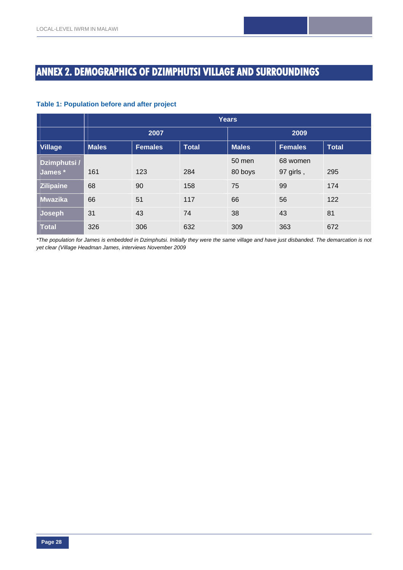# **ANNEX 2. DEMOGRAPHICS OF DZIMPHUTSI VILLAGE AND SURROUNDINGS**

#### **Table 1: Population before and after project**

|                  | <b>Years</b>                                   |      |              |                |              |     |  |  |
|------------------|------------------------------------------------|------|--------------|----------------|--------------|-----|--|--|
|                  |                                                | 2007 |              | 2009           |              |     |  |  |
| <b>Village</b>   | <b>Males</b><br><b>Total</b><br><b>Females</b> |      | <b>Males</b> | <b>Females</b> | <b>Total</b> |     |  |  |
| Dzimphutsi /     |                                                |      |              | 50 men         | 68 women     |     |  |  |
| James *          | 161                                            | 123  | 284          | 80 boys        | 97 girls,    | 295 |  |  |
| <b>Zilipaine</b> | 68                                             | 90   | 158          | 75             | 99           | 174 |  |  |
| <b>Mwazika</b>   | 66                                             | 51   | 117          | 66             | 56           | 122 |  |  |
| Joseph           | 31                                             | 43   | 74           | 38             | 43           | 81  |  |  |
| <b>Total</b>     | 326                                            | 306  | 632          | 309            | 363          | 672 |  |  |

*\*The population for James is embedded in Dzimphutsi. Initially they were the same village and have just disbanded. The demarcation is not yet clear (Village Headman James, interviews November 2009*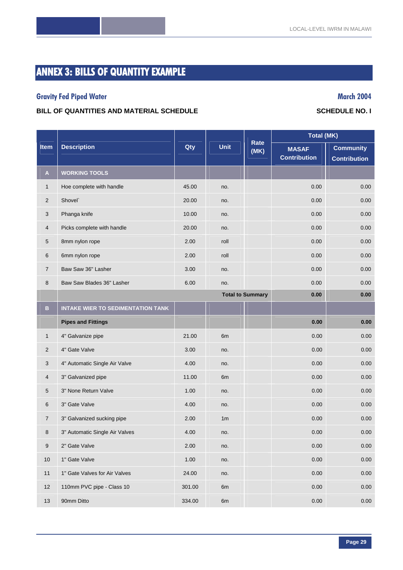# **ANNEX 3: BILLS OF QUANTITY EXAMPLE**

# **Gravity Fed Piped Water Contracts and Services and Services and Services and Services and March 2004**

#### BILL OF QUANTITIES AND MATERIAL SCHEDULE **SCHEDULE SCHEDULE SCHEDULE NO. I**

|                | <b>Description</b>                       | Qty   |                |                         | <b>Total (MK)</b>                   |                                         |
|----------------|------------------------------------------|-------|----------------|-------------------------|-------------------------------------|-----------------------------------------|
| <b>Item</b>    |                                          |       | <b>Unit</b>    | Rate<br>(MK)            | <b>MASAF</b><br><b>Contribution</b> | <b>Community</b><br><b>Contribution</b> |
| A              | <b>WORKING TOOLS</b>                     |       |                |                         |                                     |                                         |
| $\mathbf{1}$   | Hoe complete with handle                 | 45.00 | no.            |                         | 0.00                                | 0.00                                    |
| $\mathbf{2}$   | Shovel`                                  | 20.00 | no.            |                         | 0.00                                | 0.00                                    |
| 3              | Phanga knife                             | 10.00 | no.            |                         | 0.00                                | 0.00                                    |
| $\overline{4}$ | Picks complete with handle               | 20.00 | no.            |                         | 0.00                                | 0.00                                    |
| 5              | 8mm nylon rope                           | 2.00  | roll           |                         | 0.00                                | 0.00                                    |
| 6              | 6mm nylon rope                           | 2.00  | roll           |                         | 0.00                                | 0.00                                    |
| 7              | Baw Saw 36" Lasher                       | 3.00  | no.            |                         | 0.00                                | 0.00                                    |
| 8              | Baw Saw Blades 36" Lasher                | 6.00  | no.            |                         | 0.00                                | 0.00                                    |
|                |                                          |       |                | <b>Total to Summary</b> | 0.00                                | 0.00                                    |
| B              | <b>INTAKE WIER TO SEDIMENTATION TANK</b> |       |                |                         |                                     |                                         |
|                | <b>Pipes and Fittings</b>                |       |                |                         | 0.00                                | 0.00                                    |
| $\mathbf{1}$   | 4" Galvanize pipe                        | 21.00 | 6 <sub>m</sub> |                         | 0.00                                | 0.00                                    |
| 2              | 4" Gate Valve                            | 3.00  | no.            |                         | 0.00                                | 0.00                                    |
| 3              | 4" Automatic Single Air Valve            | 4.00  | no.            |                         | 0.00                                | 0.00                                    |
| 4              | 3" Galvanized pipe                       | 11.00 | 6 <sub>m</sub> |                         | 0.00                                | 0.00                                    |
| 5              | 3" None Return Valve                     | 1.00  | no.            |                         | 0.00                                | 0.00                                    |
| 6              | 3" Gate Valve                            | 4.00  | no.            |                         | 0.00                                | 0.00                                    |
| 7              | 3" Galvanized sucking pipe               | 2.00  | 1 <sub>m</sub> |                         | 0.00                                | 0.00                                    |
| 8              | 3" Automatic Single Air Valves           | 4.00  | no.            |                         | 0.00                                | 0.00                                    |
| 9              | 2" Gate Valve                            | 2.00  | no.            |                         | 0.00                                | 0.00                                    |

10 1 Gate Valve 1.00 no. 0.00 0.00 0.00 0.00 0.00

11 1" Gate Valves for Air Valves 24.00 no. 0.00 0.00 0.00 0.00 0.00

12 110mm PVC pipe - Class 10 301.00 6m 0.00 0.00 0.00 0.00

13 90mm Ditto 334.00 6m 0.00 0.00

# **Page 29**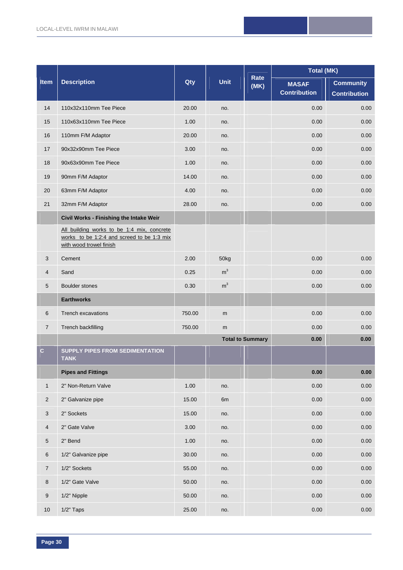|                  |                                                                                                                     | Qty    |                | Rate<br>(MK)            | <b>Total (MK)</b>   |                     |
|------------------|---------------------------------------------------------------------------------------------------------------------|--------|----------------|-------------------------|---------------------|---------------------|
| Item             | <b>Description</b>                                                                                                  |        | <b>Unit</b>    |                         | <b>MASAF</b>        | <b>Community</b>    |
|                  |                                                                                                                     |        |                |                         | <b>Contribution</b> | <b>Contribution</b> |
| 14               | 110x32x110mm Tee Piece                                                                                              | 20.00  | no.            |                         | 0.00                | 0.00                |
| 15               | 110x63x110mm Tee Piece                                                                                              | 1.00   | no.            |                         | 0.00                | 0.00                |
| 16               | 110mm F/M Adaptor                                                                                                   | 20.00  | no.            |                         | 0.00                | 0.00                |
| 17               | 90x32x90mm Tee Piece                                                                                                | 3.00   | no.            |                         | 0.00                | 0.00                |
| 18               | 90x63x90mm Tee Piece                                                                                                | 1.00   | no.            |                         | 0.00                | 0.00                |
| 19               | 90mm F/M Adaptor                                                                                                    | 14.00  | no.            |                         | 0.00                | 0.00                |
| 20               | 63mm F/M Adaptor                                                                                                    | 4.00   | no.            |                         | 0.00                | 0.00                |
| 21               | 32mm F/M Adaptor                                                                                                    | 28.00  | no.            |                         | 0.00                | 0.00                |
|                  | Civil Works - Finishing the Intake Weir                                                                             |        |                |                         |                     |                     |
|                  | All building works to be 1:4 mix, concrete<br>works to be 1:2:4 and screed to be 1:3 mix<br>with wood trowel finish |        |                |                         |                     |                     |
| 3                | Cement                                                                                                              | 2.00   | 50kg           |                         | 0.00                | 0.00                |
| 4                | Sand                                                                                                                | 0.25   | $\rm m^3$      |                         | 0.00                | 0.00                |
| 5                | <b>Boulder stones</b>                                                                                               | 0.30   | m <sup>3</sup> |                         | 0.00                | 0.00                |
|                  | <b>Earthworks</b>                                                                                                   |        |                |                         |                     |                     |
| 6                | Trench excavations                                                                                                  | 750.00 | m              |                         | 0.00                | 0.00                |
| $\overline{7}$   | Trench backfilling                                                                                                  | 750.00 | m              |                         | 0.00                | 0.00                |
|                  |                                                                                                                     |        |                | <b>Total to Summary</b> | 0.00                | 0.00                |
| $\mathbf C$      | <b>SUPPLY PIPES FROM SEDIMENTATION</b><br><b>TANK</b>                                                               |        |                |                         |                     |                     |
|                  | <b>Pipes and Fittings</b>                                                                                           |        |                |                         | 0.00                | 0.00                |
| $\mathbf{1}$     | 2" Non-Return Valve                                                                                                 | 1.00   | no.            |                         | 0.00                | $0.00\,$            |
| $\overline{c}$   | 2" Galvanize pipe                                                                                                   | 15.00  | 6m             |                         | 0.00                | 0.00                |
| $\mathbf{3}$     | 2" Sockets                                                                                                          | 15.00  | no.            |                         | 0.00                | 0.00                |
| $\overline{4}$   | 2" Gate Valve                                                                                                       | 3.00   | no.            |                         | 0.00                | 0.00                |
| $\overline{5}$   | 2" Bend                                                                                                             | 1.00   | no.            |                         | 0.00                | 0.00                |
| 6                | 1/2" Galvanize pipe                                                                                                 | 30.00  | no.            |                         | 0.00                | 0.00                |
| $\overline{7}$   | 1/2" Sockets                                                                                                        | 55.00  | no.            |                         | 0.00                | 0.00                |
| 8                | 1/2" Gate Valve                                                                                                     | 50.00  | no.            |                         | 0.00                | 0.00                |
| $\boldsymbol{9}$ | 1/2" Nipple                                                                                                         | 50.00  | no.            |                         | 0.00                | 0.00                |
| 10               | $1/2"$ Taps                                                                                                         | 25.00  | no.            |                         | 0.00                | $0.00\,$            |